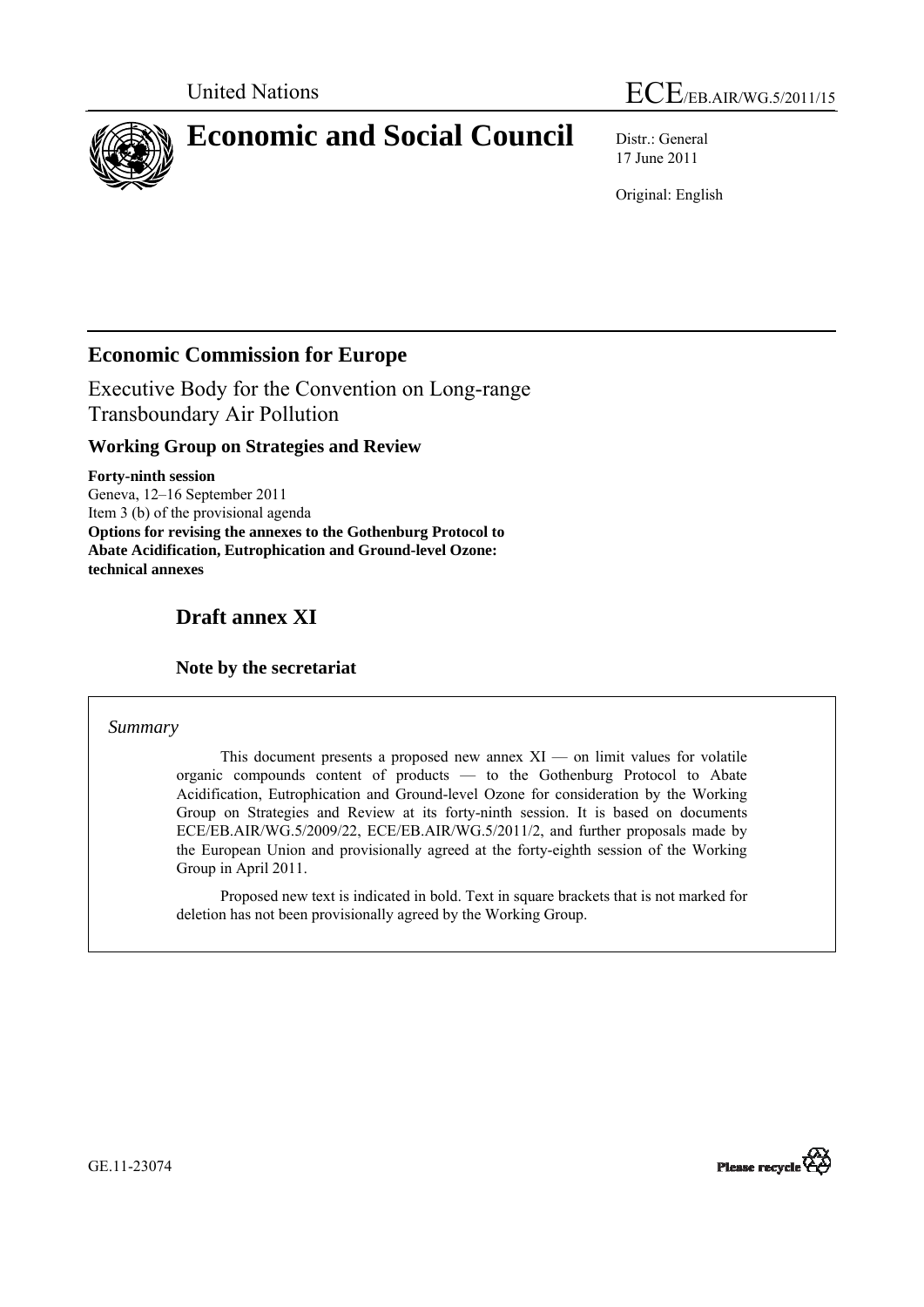



# **Economic and Social Council** Distr.: General

17 June 2011

Original: English

# **Economic Commission for Europe**

Executive Body for the Convention on Long-range Transboundary Air Pollution

## **Working Group on Strategies and Review**

**Forty-ninth session**  Geneva, 12–16 September 2011 Item 3 (b) of the provisional agenda **Options for revising the annexes to the Gothenburg Protocol to Abate Acidification, Eutrophication and Ground-level Ozone: technical annexes** 

# **Draft annex XI**

## **Note by the secretariat**

#### *Summary*

This document presents a proposed new annex  $XI$  — on limit values for volatile organic compounds content of products — to the Gothenburg Protocol to Abate Acidification, Eutrophication and Ground-level Ozone for consideration by the Working Group on Strategies and Review at its forty-ninth session. It is based on documents ECE/EB.AIR/WG.5/2009/22, ECE/EB.AIR/WG.5/2011/2, and further proposals made by the European Union and provisionally agreed at the forty-eighth session of the Working Group in April 2011.

 Proposed new text is indicated in bold. Text in square brackets that is not marked for deletion has not been provisionally agreed by the Working Group.

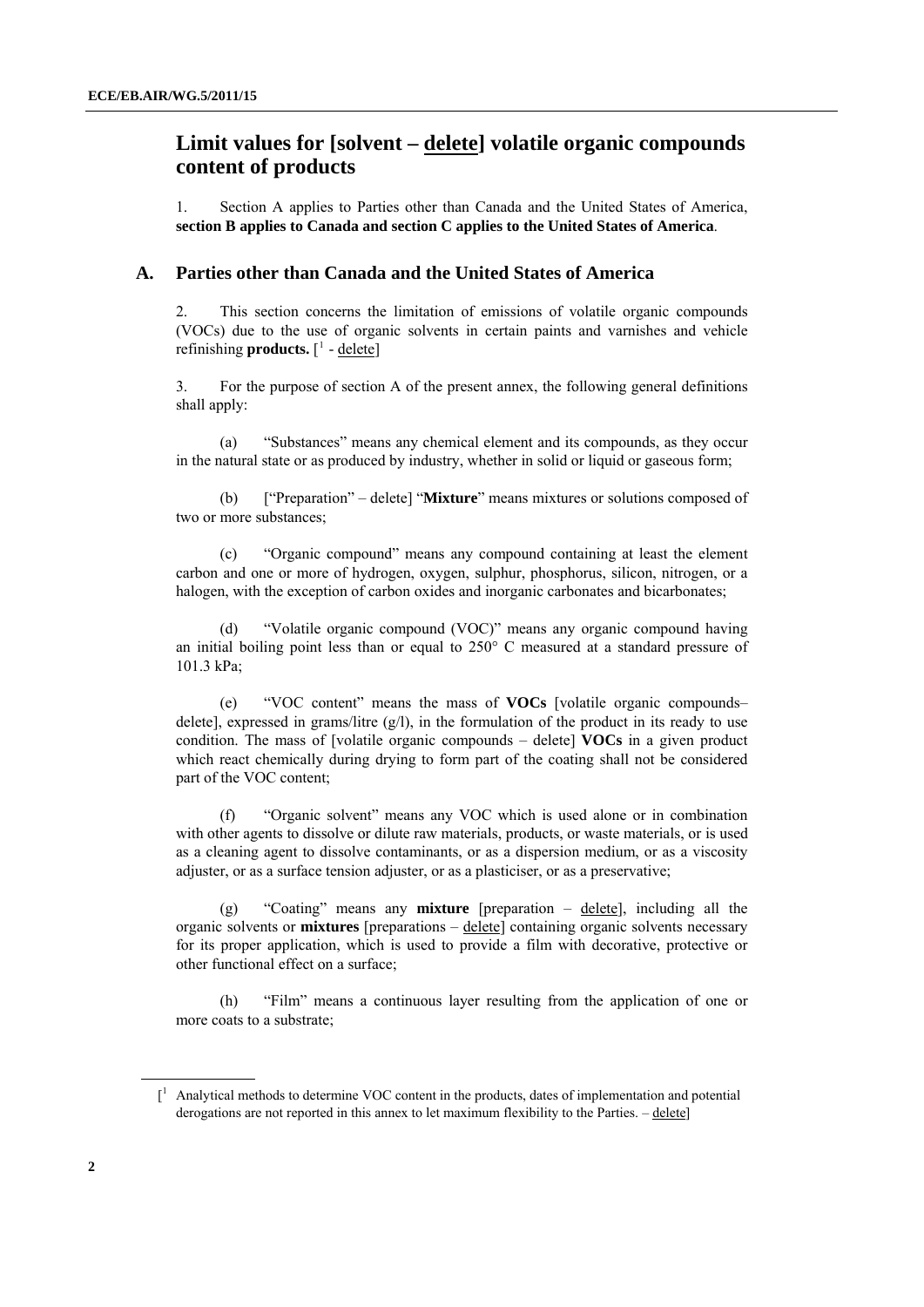# <span id="page-1-0"></span> **Limit values for [solvent – delete] volatile organic compounds content of products**

1. Section A applies to Parties other than Canada and the United States of America, **section B applies to Canada and section C applies to the United States of America**.

#### **A. Parties other than Canada and the United States of America**

2. This section concerns the limitation of emissions of volatile organic compounds (VOCs) due to the use of organic solvents in certain paints and varnishes and vehicle refinishing **products.** [<sup>[1](#page-1-0)</sup> - <u>delete</u>]

3. For the purpose of section A of the present annex, the following general definitions shall apply:

 (a) "Substances" means any chemical element and its compounds, as they occur in the natural state or as produced by industry, whether in solid or liquid or gaseous form;

 (b) ["Preparation" – delete] "**Mixture**" means mixtures or solutions composed of two or more substances;

 (c) "Organic compound" means any compound containing at least the element carbon and one or more of hydrogen, oxygen, sulphur, phosphorus, silicon, nitrogen, or a halogen, with the exception of carbon oxides and inorganic carbonates and bicarbonates;

 (d) "Volatile organic compound (VOC)" means any organic compound having an initial boiling point less than or equal to  $250^{\circ}$  C measured at a standard pressure of 101.3 kPa;

 (e) "VOC content" means the mass of **VOCs** [volatile organic compounds– delete], expressed in grams/litre (g/l), in the formulation of the product in its ready to use condition. The mass of [volatile organic compounds – delete] **VOCs** in a given product which react chemically during drying to form part of the coating shall not be considered part of the VOC content;

 (f) "Organic solvent" means any VOC which is used alone or in combination with other agents to dissolve or dilute raw materials, products, or waste materials, or is used as a cleaning agent to dissolve contaminants, or as a dispersion medium, or as a viscosity adjuster, or as a surface tension adjuster, or as a plasticiser, or as a preservative;

 (g) "Coating" means any **mixture** [preparation – delete], including all the organic solvents or **mixtures** [preparations – delete] containing organic solvents necessary for its proper application, which is used to provide a film with decorative, protective or other functional effect on a surface;

 (h) "Film" means a continuous layer resulting from the application of one or more coats to a substrate;

 $\int_1^1$  Analytical methods to determine VOC content in the products, dates of implementation and potential derogations are not reported in this annex to let maximum flexibility to the Parties. – delete]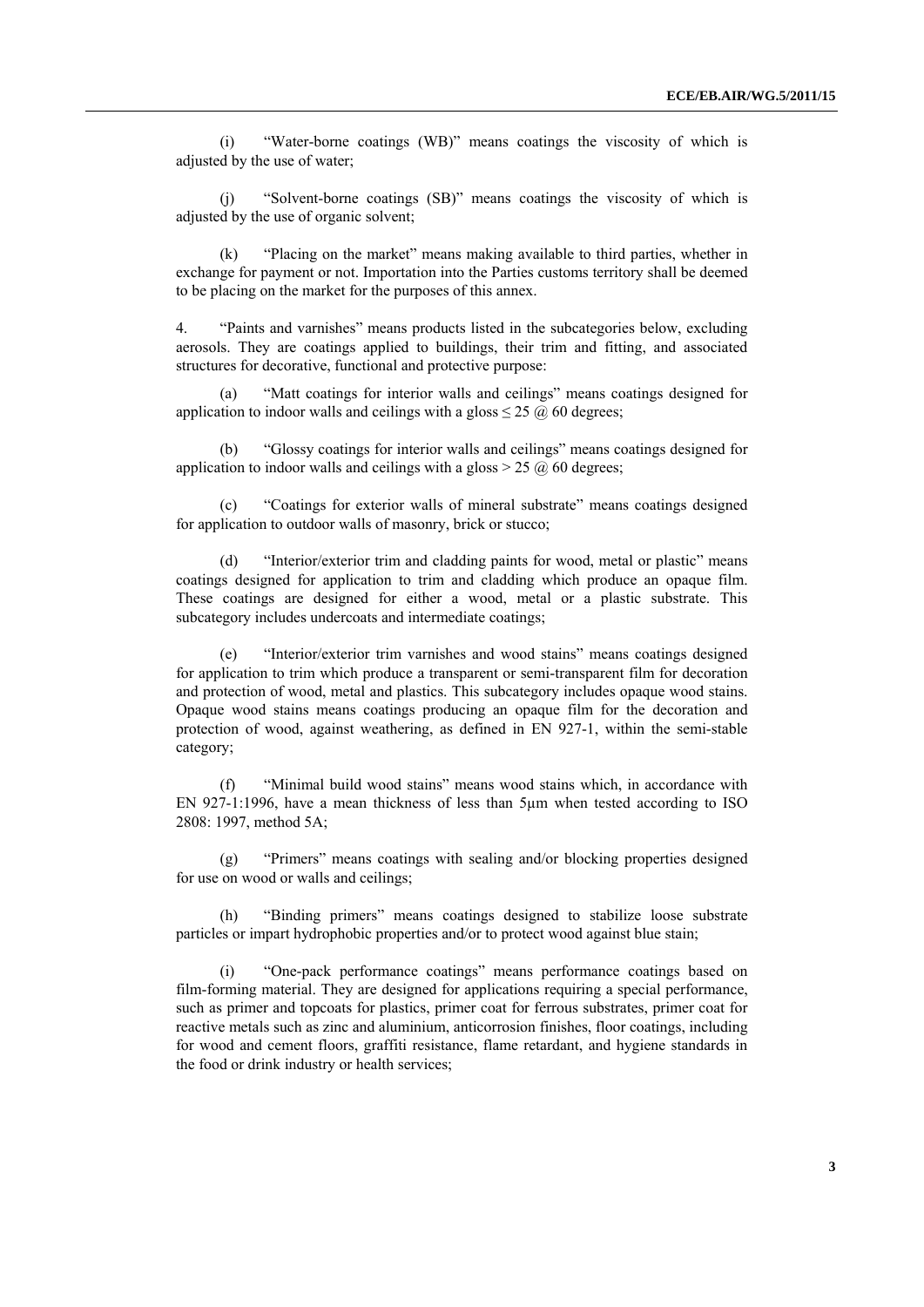(i) "Water-borne coatings (WB)" means coatings the viscosity of which is adjusted by the use of water;

 (j) "Solvent-borne coatings (SB)" means coatings the viscosity of which is adjusted by the use of organic solvent;

 (k) "Placing on the market" means making available to third parties, whether in exchange for payment or not. Importation into the Parties customs territory shall be deemed to be placing on the market for the purposes of this annex.

4. "Paints and varnishes" means products listed in the subcategories below, excluding aerosols. They are coatings applied to buildings, their trim and fitting, and associated structures for decorative, functional and protective purpose:

 (a) "Matt coatings for interior walls and ceilings" means coatings designed for application to indoor walls and ceilings with a gloss  $\leq$  25  $\omega$  60 degrees;

 (b) "Glossy coatings for interior walls and ceilings" means coatings designed for application to indoor walls and ceilings with a gloss  $> 25 \omega$  60 degrees;

 (c) "Coatings for exterior walls of mineral substrate" means coatings designed for application to outdoor walls of masonry, brick or stucco;

 (d) "Interior/exterior trim and cladding paints for wood, metal or plastic" means coatings designed for application to trim and cladding which produce an opaque film. These coatings are designed for either a wood, metal or a plastic substrate. This subcategory includes undercoats and intermediate coatings;

 (e) "Interior/exterior trim varnishes and wood stains" means coatings designed for application to trim which produce a transparent or semi-transparent film for decoration and protection of wood, metal and plastics. This subcategory includes opaque wood stains. Opaque wood stains means coatings producing an opaque film for the decoration and protection of wood, against weathering, as defined in EN 927-1, within the semi-stable category;

 (f) "Minimal build wood stains" means wood stains which, in accordance with EN 927-1:1996, have a mean thickness of less than 5µm when tested according to ISO 2808: 1997, method 5A;

 (g) "Primers" means coatings with sealing and/or blocking properties designed for use on wood or walls and ceilings;

 (h) "Binding primers" means coatings designed to stabilize loose substrate particles or impart hydrophobic properties and/or to protect wood against blue stain;

 (i) "One-pack performance coatings" means performance coatings based on film-forming material. They are designed for applications requiring a special performance, such as primer and topcoats for plastics, primer coat for ferrous substrates, primer coat for reactive metals such as zinc and aluminium, anticorrosion finishes, floor coatings, including for wood and cement floors, graffiti resistance, flame retardant, and hygiene standards in the food or drink industry or health services;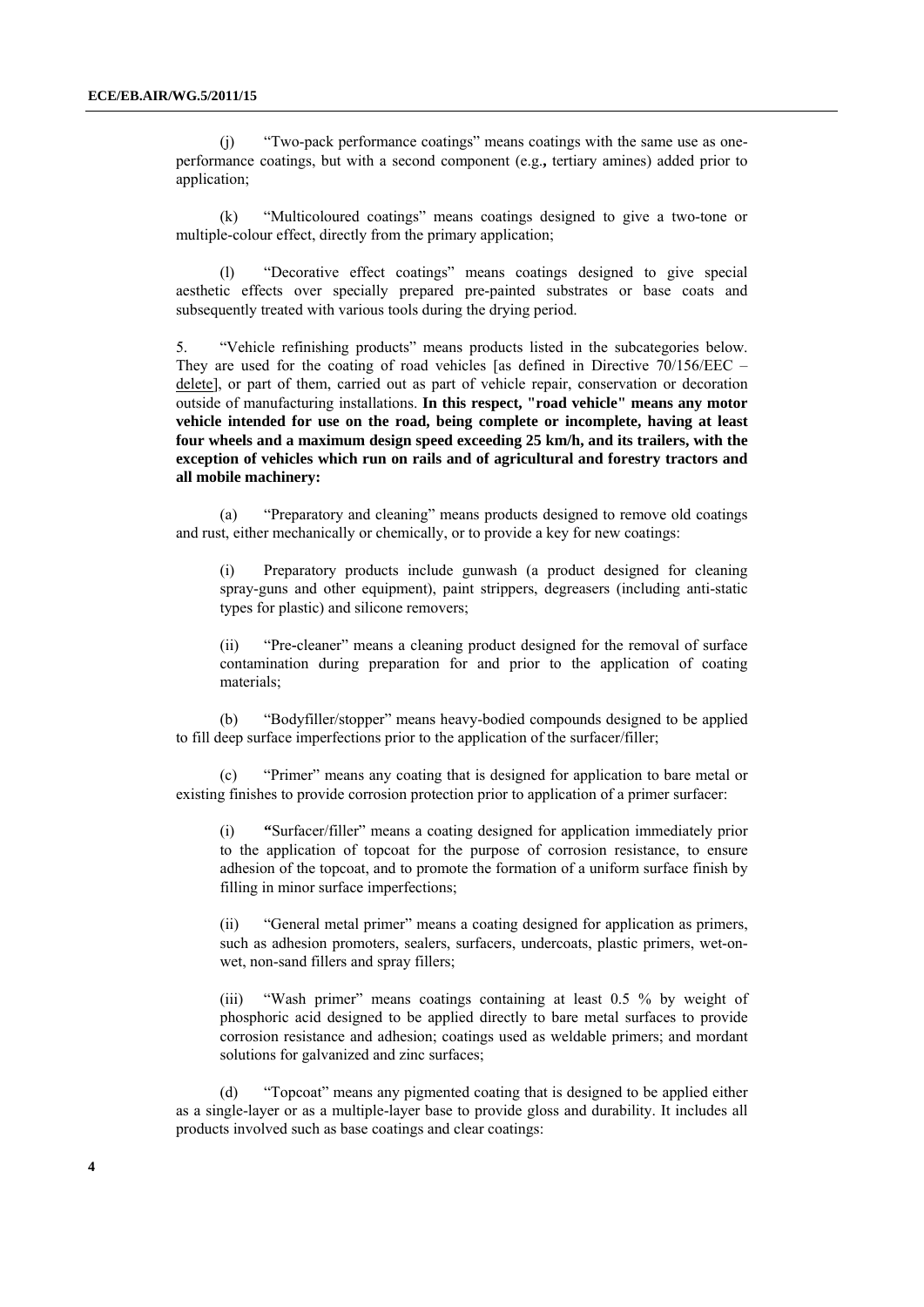(j) "Two-pack performance coatings" means coatings with the same use as oneperformance coatings, but with a second component (e.g.**,** tertiary amines) added prior to application;

 (k) "Multicoloured coatings" means coatings designed to give a two-tone or multiple-colour effect, directly from the primary application;

 (l) "Decorative effect coatings" means coatings designed to give special aesthetic effects over specially prepared pre-painted substrates or base coats and subsequently treated with various tools during the drying period.

5. "Vehicle refinishing products" means products listed in the subcategories below. They are used for the coating of road vehicles [as defined in Directive 70/156/EEC – delete], or part of them, carried out as part of vehicle repair, conservation or decoration outside of manufacturing installations. **In this respect, "road vehicle" means any motor vehicle intended for use on the road, being complete or incomplete, having at least four wheels and a maximum design speed exceeding 25 km/h, and its trailers, with the exception of vehicles which run on rails and of agricultural and forestry tractors and all mobile machinery:**

 (a) "Preparatory and cleaning" means products designed to remove old coatings and rust, either mechanically or chemically, or to provide a key for new coatings:

(i) Preparatory products include gunwash (a product designed for cleaning spray-guns and other equipment), paint strippers, degreasers (including anti-static types for plastic) and silicone removers;

(ii) "Pre**-**cleaner" means a cleaning product designed for the removal of surface contamination during preparation for and prior to the application of coating materials;

 (b) "Bodyfiller/stopper" means heavy-bodied compounds designed to be applied to fill deep surface imperfections prior to the application of the surfacer/filler;

 (c) "Primer" means any coating that is designed for application to bare metal or existing finishes to provide corrosion protection prior to application of a primer surfacer:

(i) **"**Surfacer/filler" means a coating designed for application immediately prior to the application of topcoat for the purpose of corrosion resistance, to ensure adhesion of the topcoat, and to promote the formation of a uniform surface finish by filling in minor surface imperfections;

(ii) "General metal primer" means a coating designed for application as primers, such as adhesion promoters, sealers, surfacers, undercoats, plastic primers, wet-onwet, non-sand fillers and spray fillers;

(iii) "Wash primer" means coatings containing at least 0.5 % by weight of phosphoric acid designed to be applied directly to bare metal surfaces to provide corrosion resistance and adhesion; coatings used as weldable primers; and mordant solutions for galvanized and zinc surfaces;

 (d) "Topcoat" means any pigmented coating that is designed to be applied either as a single-layer or as a multiple-layer base to provide gloss and durability. It includes all products involved such as base coatings and clear coatings: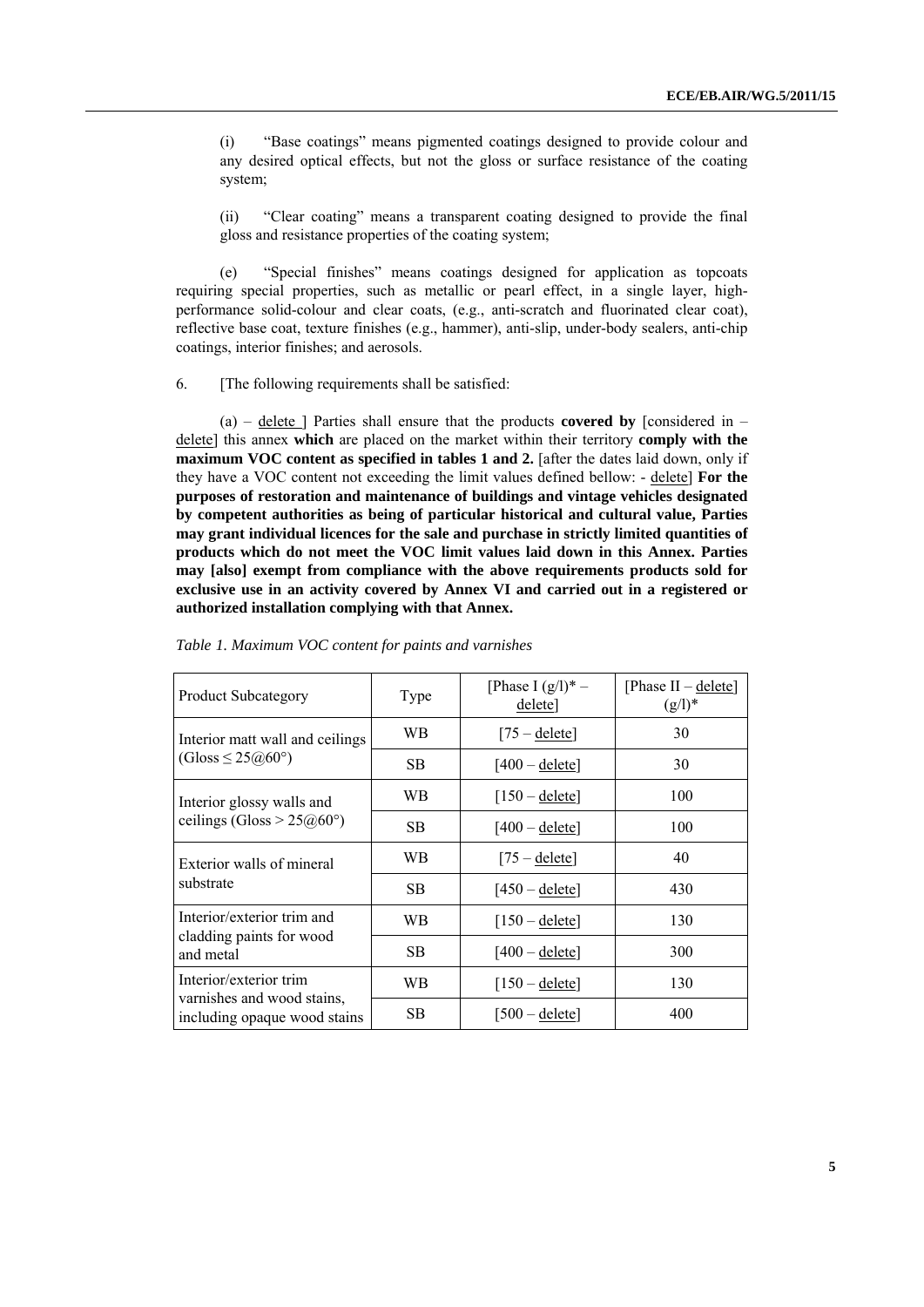(i) "Base coatings" means pigmented coatings designed to provide colour and any desired optical effects, but not the gloss or surface resistance of the coating system;

(ii) "Clear coating" means a transparent coating designed to provide the final gloss and resistance properties of the coating system;

 (e) "Special finishes" means coatings designed for application as topcoats requiring special properties, such as metallic or pearl effect, in a single layer, highperformance solid-colour and clear coats, (e.g., anti-scratch and fluorinated clear coat), reflective base coat, texture finishes (e.g., hammer), anti-slip, under-body sealers, anti-chip coatings, interior finishes; and aerosols.

6. [The following requirements shall be satisfied:

 (a) – delete ] Parties shall ensure that the products **covered by** [considered in – delete] this annex **which** are placed on the market within their territory **comply with the maximum VOC content as specified in tables 1 and 2.** [after the dates laid down, only if they have a VOC content not exceeding the limit values defined bellow: - delete] **For the purposes of restoration and maintenance of buildings and vintage vehicles designated by competent authorities as being of particular historical and cultural value, Parties may grant individual licences for the sale and purchase in strictly limited quantities of products which do not meet the VOC limit values laid down in this Annex. Parties may [also] exempt from compliance with the above requirements products sold for exclusive use in an activity covered by Annex VI and carried out in a registered or authorized installation complying with that Annex.** 

| <b>Product Subcategory</b>                                                           | Type      | [Phase I $(g/l)^*$ –<br>delete] | [Phase II – delete]<br>$(g/l)^*$ |
|--------------------------------------------------------------------------------------|-----------|---------------------------------|----------------------------------|
| Interior matt wall and ceilings<br>$(Gloss \leq 25@60°)$                             | WB        | $[75 - \text{delete}]$          | 30                               |
|                                                                                      | <b>SB</b> | $[400 -$ delete]                | 30                               |
| Interior glossy walls and<br>ceilings (Gloss > $25@60°$ )                            | WB        | $[150 -$ delete]                | 100                              |
|                                                                                      | <b>SB</b> | $[400 -$ delete]                | 100                              |
| Exterior walls of mineral<br>substrate                                               | WB        | $[75 - \text{delete}]$          | 40                               |
|                                                                                      | <b>SB</b> | $[450 -$ delete]                | 430                              |
| Interior/exterior trim and<br>cladding paints for wood<br>and metal                  | WB        | $[150 -$ delete]                | 130                              |
|                                                                                      | <b>SB</b> | $[400 -$ delete]                | 300                              |
| Interior/exterior trim<br>varnishes and wood stains,<br>including opaque wood stains | WВ        | $[150 -$ delete]                | 130                              |
|                                                                                      | <b>SB</b> | [500 – <u>delete</u> ]          | 400                              |

*Table 1. Maximum VOC content for paints and varnishes*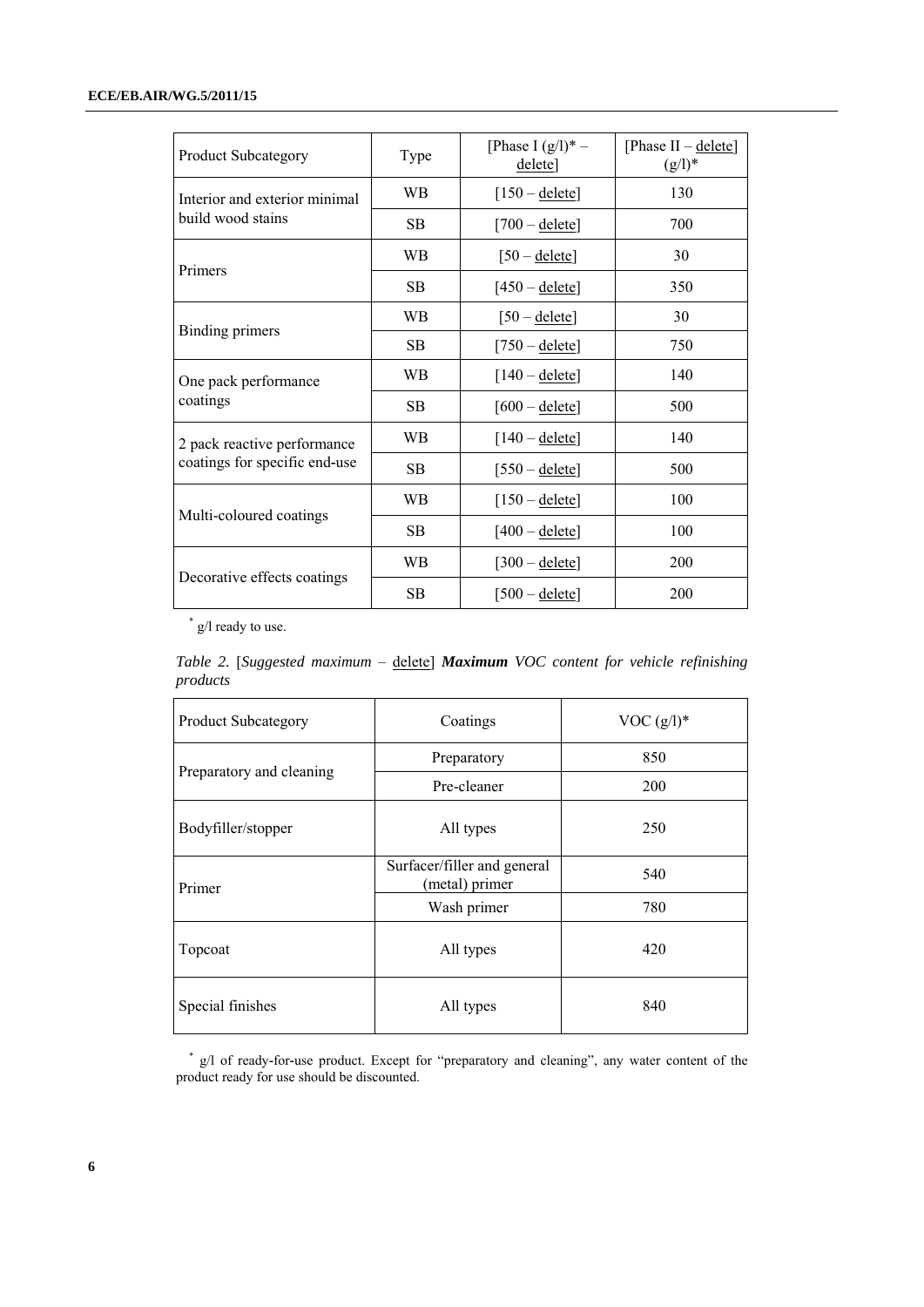| <b>Product Subcategory</b>                                   | Type | [Phase I $(g/l)^*$ –<br>$delete$ ] | [Phase II - delete]<br>$(g/l)^*$ |
|--------------------------------------------------------------|------|------------------------------------|----------------------------------|
| Interior and exterior minimal<br>build wood stains           | WB   | $[150 - \text{delete}]$            | 130                              |
|                                                              | SВ   | $[700 -$ delete]                   | 700                              |
| Primers                                                      | WВ   | $[50 -$ delete]                    | 30                               |
|                                                              | SB   | $[450 -$ delete]                   | 350                              |
| Binding primers                                              | WВ   | $[50 -$ delete]                    | 30                               |
|                                                              | SB   | $[750 -$ delete]                   | 750                              |
| One pack performance<br>coatings                             | WВ   | $[140 -$ delete]                   | 140                              |
|                                                              | SB   | $[600 -$ delete]                   | 500                              |
| 2 pack reactive performance<br>coatings for specific end-use | WВ   | $[140 -$ delete]                   | 140                              |
|                                                              | SВ   | $[550 -$ delete]                   | 500                              |
| Multi-coloured coatings                                      | WВ   | $[150 - \text{delete}]$            | 100                              |
|                                                              | SB   | $[400 -$ delete]                   | 100                              |
| Decorative effects coatings                                  | WB   | $[300 - \text{delete}]$            | 200                              |
|                                                              | SB   | $[500 -$ delete]                   | 200                              |

\* g/l ready to use.

*Table 2.* [*Suggested maximum* – delete] *Maximum VOC content for vehicle refinishing products*

| Product Subcategory      | Coatings                                      | VOC $(g/l)^*$ |
|--------------------------|-----------------------------------------------|---------------|
| Preparatory and cleaning | Preparatory                                   | 850           |
|                          | Pre-cleaner                                   | <b>200</b>    |
| Bodyfiller/stopper       | All types                                     | 250           |
| Primer                   | Surfacer/filler and general<br>(metal) primer | 540           |
|                          | Wash primer                                   | 780           |
| Topcoat                  | All types                                     | 420           |
| Special finishes         | All types                                     | 840           |

<sup>\*</sup> g/l of ready**-**for**-**use product. Except for "preparatory and cleaning", any water content of the product ready for use should be discounted.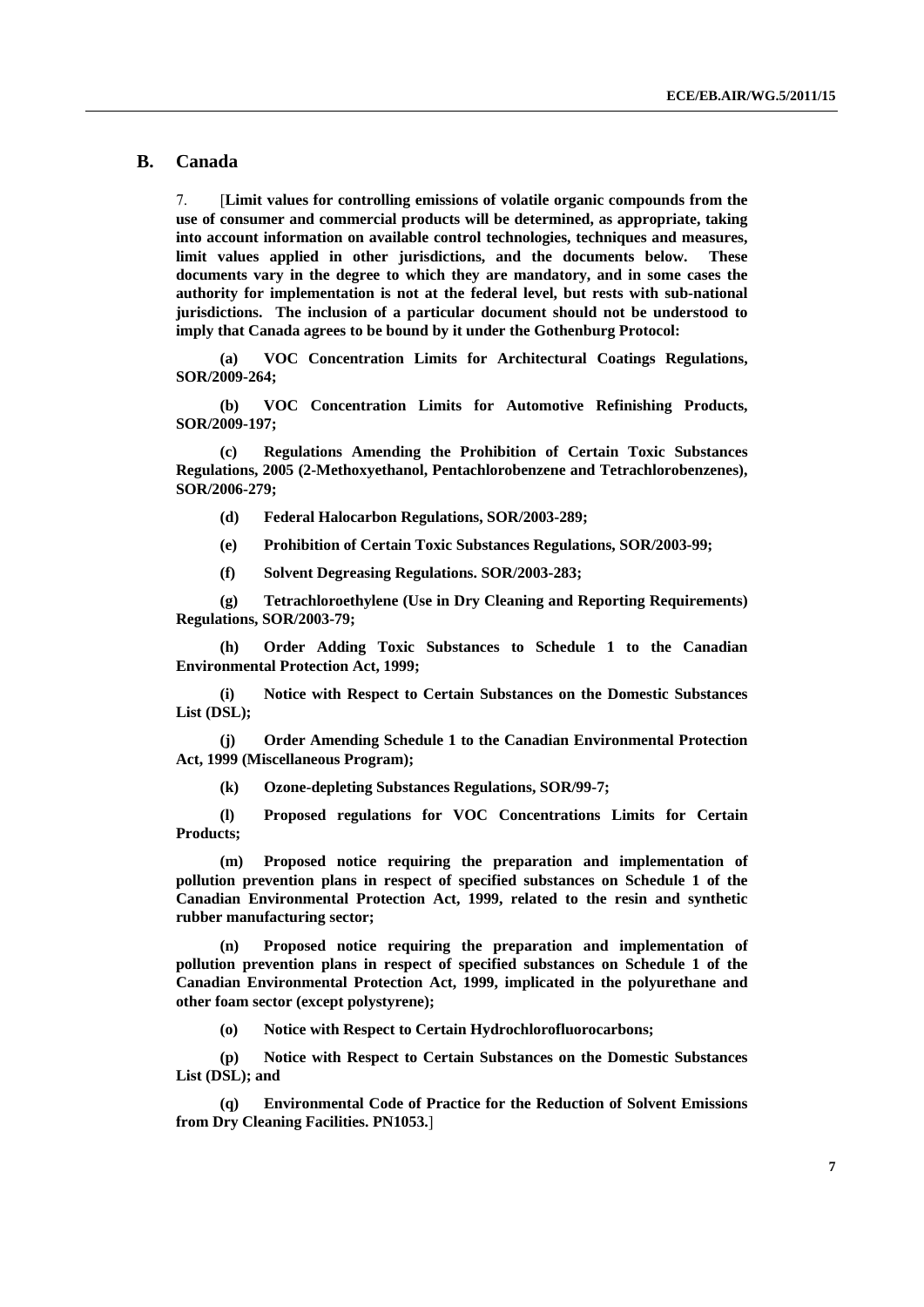#### **B. Canada**

7. [**Limit values for controlling emissions of volatile organic compounds from the use of consumer and commercial products will be determined, as appropriate, taking into account information on available control technologies, techniques and measures, limit values applied in other jurisdictions, and the documents below. These documents vary in the degree to which they are mandatory, and in some cases the authority for implementation is not at the federal level, but rests with sub-national jurisdictions. The inclusion of a particular document should not be understood to imply that Canada agrees to be bound by it under the Gothenburg Protocol:** 

 **(a) VOC Concentration Limits for Architectural Coatings Regulations, SOR/2009-264;** 

 **(b) VOC Concentration Limits for Automotive Refinishing Products, SOR/2009-197;** 

 **(c) Regulations Amending the Prohibition of Certain Toxic Substances Regulations, 2005 (2-Methoxyethanol, Pentachlorobenzene and Tetrachlorobenzenes), SOR/2006-279;** 

- **(d) Federal Halocarbon Regulations, SOR/2003-289;**
- **(e) Prohibition of Certain Toxic Substances Regulations, SOR/2003-99;**
- **(f) Solvent Degreasing Regulations. SOR/2003-283;**

 **(g) Tetrachloroethylene (Use in Dry Cleaning and Reporting Requirements) Regulations, SOR/2003-79;** 

 **(h) Order Adding Toxic Substances to Schedule 1 to the Canadian Environmental Protection Act, 1999;** 

 **(i) Notice with Respect to Certain Substances on the Domestic Substances List (DSL);** 

 **(j) Order Amending Schedule 1 to the Canadian Environmental Protection Act, 1999 (Miscellaneous Program);** 

 **(k) Ozone-depleting Substances Regulations, SOR/99-7;** 

 **(l) Proposed regulations for VOC Concentrations Limits for Certain Products;** 

 **(m) Proposed notice requiring the preparation and implementation of pollution prevention plans in respect of specified substances on Schedule 1 of the Canadian Environmental Protection Act, 1999, related to the resin and synthetic rubber manufacturing sector;** 

 **(n) Proposed notice requiring the preparation and implementation of pollution prevention plans in respect of specified substances on Schedule 1 of the Canadian Environmental Protection Act, 1999, implicated in the polyurethane and other foam sector (except polystyrene);** 

 **(o) Notice with Respect to Certain Hydrochlorofluorocarbons;** 

 **(p) Notice with Respect to Certain Substances on the Domestic Substances List (DSL); and** 

 **(q) Environmental Code of Practice for the Reduction of Solvent Emissions from Dry Cleaning Facilities. PN1053.**]